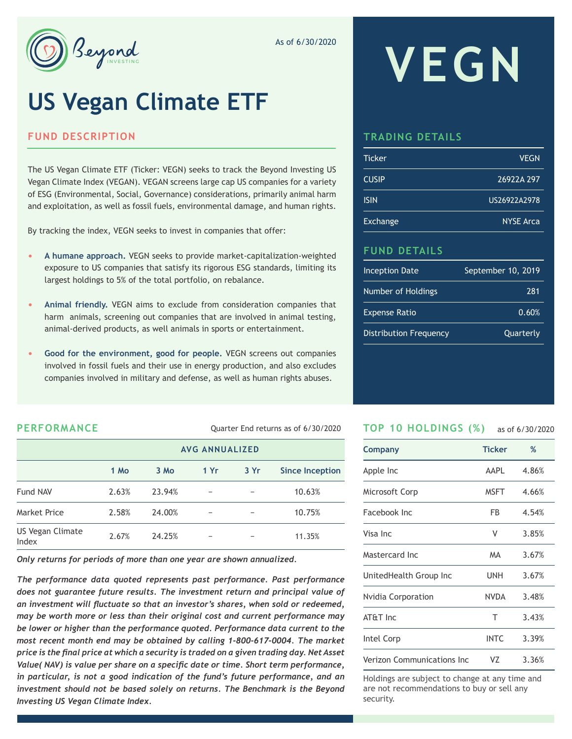

As of 6/30/2020

# **US Vegan Climate ETF**

#### **FUND DESCRIPTION**

The US Vegan Climate ETF (Ticker: VEGN) seeks to track the Beyond Investing US Vegan Climate Index (VEGAN). VEGAN screens large cap US companies for a variety of ESG (Environmental, Social, Governance) considerations, primarily animal harm and exploitation, as well as fossil fuels, environmental damage, and human rights.

By tracking the index, VEGN seeks to invest in companies that offer:

- **• A humane approach.** VEGN seeks to provide market-capitalization-weighted exposure to US companies that satisfy its rigorous ESG standards, limiting its largest holdings to 5% of the total portfolio, on rebalance.
- **• Animal friendly.** VEGN aims to exclude from consideration companies that harm animals, screening out companies that are involved in animal testing, animal-derived products, as well animals in sports or entertainment.
- **• Good for the environment, good for people.** VEGN screens out companies involved in fossil fuels and their use in energy production, and also excludes companies involved in military and defense, as well as human rights abuses.

# **VEGN**

## **TRADING DETAILS**

| <b>Ticker</b> | <b>VEGN</b>      |
|---------------|------------------|
| <b>CUSIP</b>  | 26922A 297       |
| <b>ISIN</b>   | US26922A2978     |
| Exchange      | <b>NYSE Arca</b> |

## **FUND DETAILS**

| <b>Inception Date</b>         | September 10, 2019 |
|-------------------------------|--------------------|
| Number of Holdings            | 281                |
| <b>Expense Ratio</b>          | 0.60%              |
| <b>Distribution Frequency</b> | Quarterly          |

**PERFORMANCE** Quarter End returns as of 6/30/2020

|                           | <b>AVG ANNUALIZED</b> |        |     |     |                        |  |
|---------------------------|-----------------------|--------|-----|-----|------------------------|--|
|                           | 1 Mo                  | 3 Mo   | 1Yr | 3Yr | <b>Since Inception</b> |  |
| Fund NAV                  | 2.63%                 | 23.94% |     |     | 10.63%                 |  |
| <b>Market Price</b>       | 2.58%                 | 24.00% |     |     | 10.75%                 |  |
| US Vegan Climate<br>Index | 2.67%                 | 24.25% |     |     | 11.35%                 |  |

*Only returns for periods of more than one year are shown annualized.*

*The performance data quoted represents past performance. Past performance does not guarantee future results. The investment return and principal value of an investment will fluctuate so that an investor's shares, when sold or redeemed, may be worth more or less than their original cost and current performance may be lower or higher than the performance quoted. Performance data current to the most recent month end may be obtained by calling 1-800-617-0004. The market price is the final price at which a security is traded on a given trading day. Net Asset Value( NAV) is value per share on a specific date or time. Short term performance, in particular, is not a good indication of the fund's future performance, and an*  investment should not be based solely on returns. The Benchmark is the Beyond *Investing US Vegan Climate Index.*

#### **TOP 10 HOLDINGS (%)** as of 6/30/2020

| Company                    | <b>Ticker</b> | %     |
|----------------------------|---------------|-------|
| Apple Inc                  | AAPL          | 4.86% |
| Microsoft Corp             | <b>MSFT</b>   | 4.66% |
| Facebook Inc               | FB            | 4.54% |
| Visa Inc                   | ٧             | 3.85% |
| Mastercard Inc             | <b>MA</b>     | 3.67% |
| UnitedHealth Group Inc     | UNH           | 3.67% |
| Nvidia Corporation         | <b>NVDA</b>   | 3.48% |
| AT&T Inc                   | T             | 3.43% |
| Intel Corp                 | <b>INTC</b>   | 3.39% |
| Verizon Communications Inc | VZ            | 3.36% |

Holdings are subject to change at any time and are not recommendations to buy or sell any security.